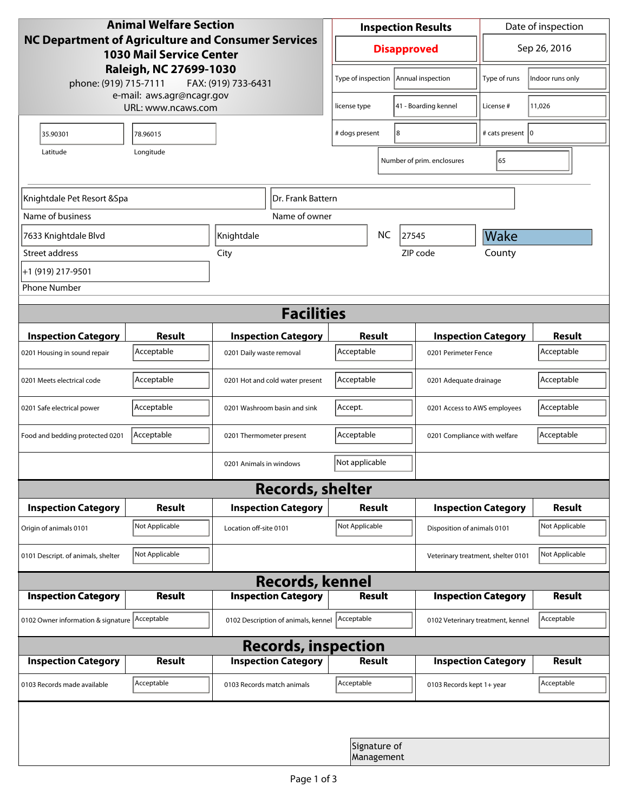| <b>Animal Welfare Section</b><br><b>NC Department of Agriculture and Consumer Services</b><br><b>1030 Mail Service Center</b><br>Raleigh, NC 27699-1030<br>phone: (919) 715-7111<br>FAX: (919) 733-6431 |                |                                     | <b>Inspection Results</b>                  |                            |                                    | Date of inspection          |                  |  |
|---------------------------------------------------------------------------------------------------------------------------------------------------------------------------------------------------------|----------------|-------------------------------------|--------------------------------------------|----------------------------|------------------------------------|-----------------------------|------------------|--|
|                                                                                                                                                                                                         |                |                                     | <b>Disapproved</b>                         |                            |                                    | Sep 26, 2016                |                  |  |
|                                                                                                                                                                                                         |                |                                     | Type of inspection                         |                            | Annual inspection                  | Type of runs                | Indoor runs only |  |
| e-mail: aws.agr@ncagr.gov<br>URL: www.ncaws.com                                                                                                                                                         |                |                                     | license type                               |                            | 41 - Boarding kennel               | License #                   | 11,026           |  |
| 35.90301                                                                                                                                                                                                | 78.96015       |                                     | 8<br># dogs present                        |                            | # cats present   0                 |                             |                  |  |
| Latitude                                                                                                                                                                                                |                |                                     |                                            | Number of prim. enclosures | 65                                 |                             |                  |  |
| Knightdale Pet Resort & Spa<br>Dr. Frank Battern                                                                                                                                                        |                |                                     |                                            |                            |                                    |                             |                  |  |
| Name of business                                                                                                                                                                                        |                | Name of owner                       |                                            |                            |                                    |                             |                  |  |
| 7633 Knightdale Blvd                                                                                                                                                                                    |                | Knightdale                          |                                            | <b>NC</b>                  | 27545                              | Wake                        |                  |  |
| Street address                                                                                                                                                                                          |                | City                                |                                            |                            | ZIP code                           | County                      |                  |  |
| +1 (919) 217-9501                                                                                                                                                                                       |                |                                     |                                            |                            |                                    |                             |                  |  |
| <b>Phone Number</b>                                                                                                                                                                                     |                |                                     |                                            |                            |                                    |                             |                  |  |
| <b>Facilities</b>                                                                                                                                                                                       |                |                                     |                                            |                            |                                    |                             |                  |  |
| <b>Inspection Category</b>                                                                                                                                                                              | <b>Result</b>  | <b>Inspection Category</b>          | Result                                     |                            | <b>Inspection Category</b>         |                             | <b>Result</b>    |  |
| 0201 Housing in sound repair                                                                                                                                                                            | Acceptable     | 0201 Daily waste removal            | Acceptable<br>0201 Perimeter Fence         |                            |                                    | Acceptable                  |                  |  |
| 0201 Meets electrical code                                                                                                                                                                              | Acceptable     | 0201 Hot and cold water present     | Acceptable                                 |                            | 0201 Adequate drainage             |                             | Acceptable       |  |
| 0201 Safe electrical power                                                                                                                                                                              | Acceptable     | 0201 Washroom basin and sink        | Accept.<br>0201 Access to AWS employees    |                            |                                    | Acceptable                  |                  |  |
| Food and bedding protected 0201                                                                                                                                                                         | Acceptable     | 0201 Thermometer present            | Acceptable<br>0201 Compliance with welfare |                            |                                    | Acceptable                  |                  |  |
|                                                                                                                                                                                                         |                | 0201 Animals in windows             | Not applicable                             |                            |                                    |                             |                  |  |
| <b>Records, shelter</b>                                                                                                                                                                                 |                |                                     |                                            |                            |                                    |                             |                  |  |
| <b>Inspection Category</b>                                                                                                                                                                              | Result         | <b>Inspection Category</b>          | <b>Result</b>                              |                            |                                    | <b>Inspection Category</b>  | <b>Result</b>    |  |
| Origin of animals 0101                                                                                                                                                                                  | Not Applicable | Location off-site 0101              | Not Applicable                             |                            |                                    | Disposition of animals 0101 |                  |  |
| 0101 Descript. of animals, shelter                                                                                                                                                                      | Not Applicable |                                     |                                            |                            | Veterinary treatment, shelter 0101 |                             | Not Applicable   |  |
| <b>Records, kennel</b>                                                                                                                                                                                  |                |                                     |                                            |                            |                                    |                             |                  |  |
| <b>Inspection Category</b>                                                                                                                                                                              | <b>Result</b>  | <b>Inspection Category</b>          | <b>Result</b>                              |                            |                                    | <b>Inspection Category</b>  | <b>Result</b>    |  |
| 0102 Owner information & signature Acceptable                                                                                                                                                           |                | 0102 Description of animals, kennel | Acceptable                                 |                            | 0102 Veterinary treatment, kennel  |                             | Acceptable       |  |
| <b>Records, inspection</b>                                                                                                                                                                              |                |                                     |                                            |                            |                                    |                             |                  |  |
| <b>Inspection Category</b>                                                                                                                                                                              | <b>Result</b>  | <b>Inspection Category</b>          | Result                                     |                            |                                    | <b>Inspection Category</b>  | <b>Result</b>    |  |
| 0103 Records made available                                                                                                                                                                             | Acceptable     | 0103 Records match animals          | Acceptable                                 |                            | 0103 Records kept 1+ year          |                             | Acceptable       |  |
|                                                                                                                                                                                                         |                |                                     |                                            |                            |                                    |                             |                  |  |
|                                                                                                                                                                                                         |                |                                     |                                            | Signature of<br>Management |                                    |                             |                  |  |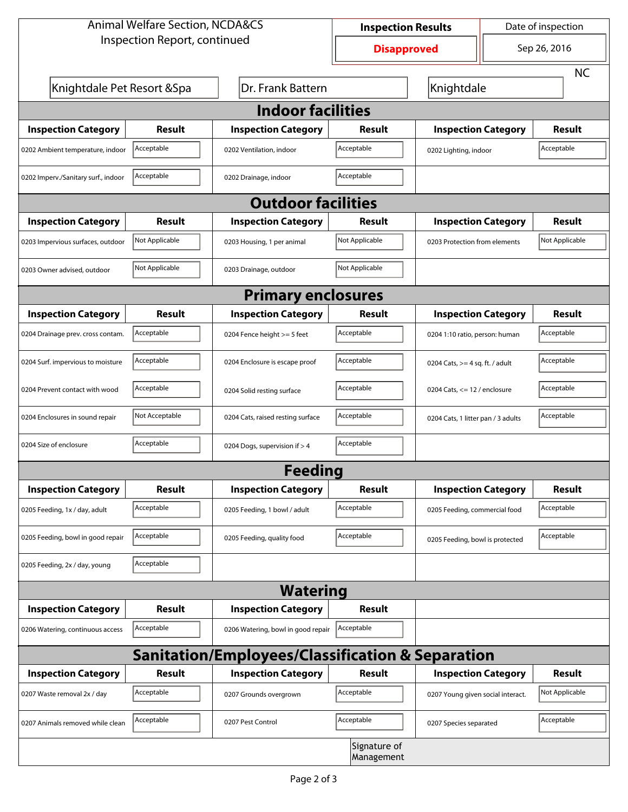| <b>Animal Welfare Section, NCDA&amp;CS</b> |                |                                                             | Date of inspection<br><b>Inspection Results</b> |                                     |           |                |  |  |
|--------------------------------------------|----------------|-------------------------------------------------------------|-------------------------------------------------|-------------------------------------|-----------|----------------|--|--|
| Inspection Report, continued               |                |                                                             | <b>Disapproved</b>                              |                                     |           | Sep 26, 2016   |  |  |
|                                            |                |                                                             |                                                 |                                     | <b>NC</b> |                |  |  |
| Knightdale Pet Resort & Spa                |                | Dr. Frank Battern                                           | Knightdale                                      |                                     |           |                |  |  |
| <b>Indoor facilities</b>                   |                |                                                             |                                                 |                                     |           |                |  |  |
| <b>Inspection Category</b>                 | Result         | <b>Inspection Category</b>                                  | Result                                          | <b>Inspection Category</b>          |           | <b>Result</b>  |  |  |
| 0202 Ambient temperature, indoor           | Acceptable     | 0202 Ventilation, indoor                                    | Acceptable                                      | Acceptable<br>0202 Lighting, indoor |           |                |  |  |
| 0202 Imperv./Sanitary surf., indoor        | Acceptable     | 0202 Drainage, indoor                                       | Acceptable                                      |                                     |           |                |  |  |
| <b>Outdoor facilities</b>                  |                |                                                             |                                                 |                                     |           |                |  |  |
| <b>Inspection Category</b>                 | <b>Result</b>  | <b>Inspection Category</b>                                  | Result                                          | <b>Inspection Category</b>          |           | <b>Result</b>  |  |  |
| 0203 Impervious surfaces, outdoor          | Not Applicable | 0203 Housing, 1 per animal                                  | Not Applicable                                  | 0203 Protection from elements       |           | Not Applicable |  |  |
| 0203 Owner advised, outdoor                | Not Applicable | 0203 Drainage, outdoor                                      | Not Applicable                                  |                                     |           |                |  |  |
| <b>Primary enclosures</b>                  |                |                                                             |                                                 |                                     |           |                |  |  |
| <b>Inspection Category</b>                 | Result         | <b>Inspection Category</b>                                  | Result                                          | <b>Inspection Category</b>          |           | <b>Result</b>  |  |  |
| 0204 Drainage prev. cross contam.          | Acceptable     | 0204 Fence height >= 5 feet                                 | Acceptable                                      | 0204 1:10 ratio, person: human      |           | Acceptable     |  |  |
| 0204 Surf. impervious to moisture          | Acceptable     | 0204 Enclosure is escape proof                              | Acceptable                                      | 0204 Cats, $>=$ 4 sq. ft. / adult   |           | Acceptable     |  |  |
| 0204 Prevent contact with wood             | Acceptable     | 0204 Solid resting surface                                  | Acceptable                                      | 0204 Cats, $<= 12$ / enclosure      |           | Acceptable     |  |  |
| 0204 Enclosures in sound repair            | Not Acceptable | 0204 Cats, raised resting surface                           | Acceptable                                      | 0204 Cats, 1 litter pan / 3 adults  |           | Acceptable     |  |  |
| 0204 Size of enclosure                     | Acceptable     | 0204 Dogs, supervision if > 4                               | Acceptable                                      |                                     |           |                |  |  |
| Feeding                                    |                |                                                             |                                                 |                                     |           |                |  |  |
| <b>Inspection Category</b>                 | <b>Result</b>  | <b>Inspection Category</b>                                  | <b>Result</b>                                   | <b>Inspection Category</b>          |           | <b>Result</b>  |  |  |
| 0205 Feeding, 1x / day, adult              | Acceptable     | 0205 Feeding, 1 bowl / adult                                | Acceptable                                      | 0205 Feeding, commercial food       |           | Acceptable     |  |  |
| 0205 Feeding, bowl in good repair          | Acceptable     | 0205 Feeding, quality food                                  | Acceptable                                      | 0205 Feeding, bowl is protected     |           | Acceptable     |  |  |
| 0205 Feeding, 2x / day, young              | Acceptable     |                                                             |                                                 |                                     |           |                |  |  |
|                                            |                | <b>Watering</b>                                             |                                                 |                                     |           |                |  |  |
| <b>Inspection Category</b>                 | Result         | <b>Inspection Category</b>                                  | <b>Result</b>                                   |                                     |           |                |  |  |
| 0206 Watering, continuous access           | Acceptable     | 0206 Watering, bowl in good repair                          | Acceptable                                      |                                     |           |                |  |  |
|                                            |                | <b>Sanitation/Employees/Classification &amp; Separation</b> |                                                 |                                     |           |                |  |  |
| <b>Inspection Category</b>                 | <b>Result</b>  | <b>Inspection Category</b>                                  | <b>Result</b>                                   | <b>Inspection Category</b>          |           | <b>Result</b>  |  |  |
| 0207 Waste removal 2x / day                | Acceptable     | 0207 Grounds overgrown                                      | Acceptable                                      | 0207 Young given social interact.   |           | Not Applicable |  |  |
| 0207 Animals removed while clean           | Acceptable     | 0207 Pest Control                                           | Acceptable                                      | 0207 Species separated              |           | Acceptable     |  |  |
|                                            |                |                                                             | Signature of<br>Management                      |                                     |           |                |  |  |